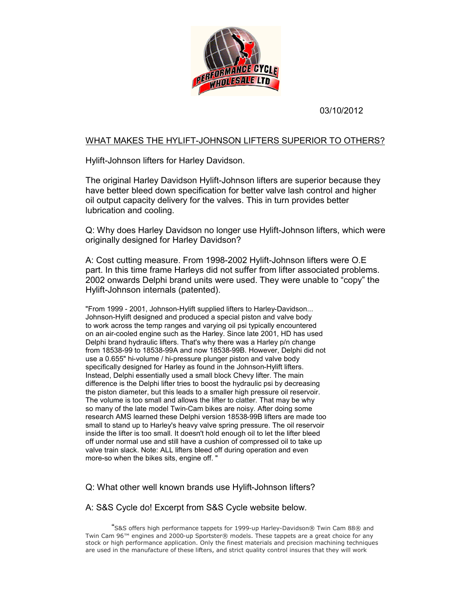

03/10/2012

## WHAT MAKES THE HYLIFT-JOHNSON LIFTERS SUPERIOR TO OTHERS?

Hylift-Johnson lifters for Harley Davidson.

The original Harley Davidson Hylift-Johnson lifters are superior because they have better bleed down specification for better valve lash control and higher oil output capacity delivery for the valves. This in turn provides better lubrication and cooling. e original Harley Davidson Hylift-Johnson lifters are superior because they<br>ve better bleed down specification for better valve lash control and higher<br>output capacity delivery for the valves. This in turn provides better<br>

Q: Why does Harley Davidson no longer use Hylift-Johnson lifters, which were originally designed for Harley Davidson?

A: Cost cutting measure. From 1998-2002 Hylift-Johnson lifters were O.E part. In this time frame Harleys did not suffer from lifter associated problems. 2002 onwards Delphi brand units were used. They were unable to "copy" the Hylift-Johnson internals (patented).

"From 1999 - 2001, Johnson-Hylift supplied lifters to Harley-Davidson... Johnson-Hylift designed and produced a special piston and valve body to work across the temp ranges and varying oil psi typically encountered on an air-cooled engine such as the Harley. Since late 2001, HD has used Delphi brand hydraulic lifters. That's why there was a Harley p/n change from 18538-99 to 18538-99A and now 18538-99B. However, Delphi did not use a 0.655" hi-volume / hi-pressure plunger piston and valve body specifically designed for Harley as found in the Johnson-Hylift lifters. Instead, Delphi essentially used a small block Chevy lifter. The main difference is the Delphi lifter tries to boost the hydraulic psi by decreasing the piston diameter, but this leads to a smaller high pressure oil reservoir. The volume is too small and allows the lifter to clatter. That may be why so many of the late model Twin-Cam bikes are noisy. After doing some research AMS learned these Delphi version 18538-99B lifters are made too small to stand up to Harley's heavy valve spring pressure. The oil reservoir inside the lifter is too small. It doesn't hold enough oil to let the lifter bleed off under normal use and still have a cushion of compressed oil to take up valve train slack. Note: ALL lifters bleed off during operation and even more-so when the bikes sits, engine off. " "From 1999 - 2001, Johnson-Hylift supplied lifters to Harley-Davidson...<br>Johnson-Hylift designed and produced a special piston and valve body<br>to work across the temp ranges and varying oil psi typically encountered<br>on an a WHAT MAKES THE HYLIFT-JOHNSON LIFTERS SUPERIOR TO OTHERS?<br>
Hylift-Johnson lifters for Harley Davidson.<br>
The original Harley Davidson (hylift-Johnson lifters are superior because they<br>
The original Harley Davidson for brigh "From 1999 - 2001, Johnson-Hylift supplied lifters to Harley-Davidson...<br>Johnson-Hylift designed and produced a special piston and valve body<br>to work across the temp ranges and varying oil psi typically encountered<br>on an a Instead, Delphi essentially used a small block Chevy lifter. The main<br>difference is the Delphi lifter tries to boost the hydraulic psi by decrea<br>the piston diameter, but this leads to a smaller high pressure oil rese<br>The v

Q: What other well known brands use Hylift-Johnson lifters?

## Q: What other well known brands use Hylift-Johnson lifters?<br>A: S&S Cycle do! Excerpt from S&S Cycle website below.

"S&S offers high performance tappets for 1999-up Harley-Davidson® Twin Cam 88® and Twin Cam 96™ engines and 2000-up Sportster® models. These tappets are a great choice for any stock or high performance application. Only the finest materials and precision machining techniques are used in the manufacture of these lifters, and strict quality control insures that they will work S&S offers high performance tappets for 1999-up Harley-Davidson® Twin Cam 88®<br>Twin Cam 96™ engines and 2000-up Sportster® models. These tappets are a great choice for<br>stock or high performance application. Only the finest